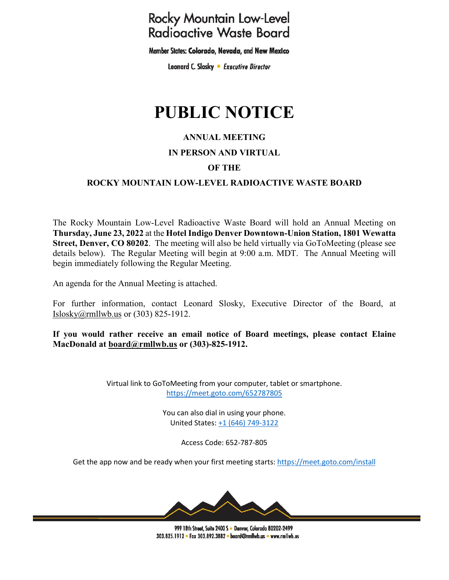## **Rocky Mountain Low-Level Radioactive Waste Board**

Member States: Colorado, Nevada, and New Mexico

Leonard C. Slosky . Executive Director

# **PUBLIC NOTICE**

#### **ANNUAL MEETING**

#### **IN PERSON AND VIRTUAL**

#### **OF THE**

#### **ROCKY MOUNTAIN LOW-LEVEL RADIOACTIVE WASTE BOARD**

The Rocky Mountain Low-Level Radioactive Waste Board will hold an Annual Meeting on **Thursday, June 23, 2022** at the **Hotel Indigo Denver Downtown-Union Station, 1801 Wewatta Street, Denver, CO 80202.** The meeting will also be held virtually via GoToMeeting (please see details below). The Regular Meeting will begin at 9:00 a.m. MDT. The Annual Meeting will begin immediately following the Regular Meeting.

An agenda for the Annual Meeting is attached.

For further information, contact Leonard Slosky, Executive Director of the Board, at [Islosky@rmllwb.us](mailto:Islosky@rmllwb.us) or (303) 825-1912.

**If you would rather receive an email notice of Board meetings, please contact Elaine MacDonald at [board@rmllwb.us](mailto:board@rmllwb.us) or (303)-825-1912.**

> Virtual link to GoToMeeting from your computer, tablet or smartphone. <https://meet.goto.com/652787805>

> > You can also dial in using your phone. United States: [+1 \(646\) 749-3122](tel:+16467493122,,652787805)

> > > Access Code: 652-787-805

Get the app now and be ready when your first meeting starts:<https://meet.goto.com/install>



999 18th Street, Suite 2400 S . Denver, Colorado 80202-2499 303.825.1912 • Fax 303.892.3882 • board@rmllwb.us • www.rmllwb.us